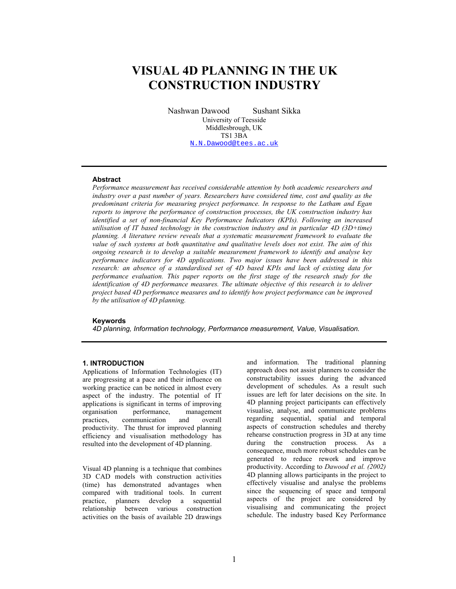# **VISUAL 4D PLANNING IN THE UK CONSTRUCTION INDUSTRY**

Nashwan Dawood Sushant Sikka University of Teesside Middlesbrough, UK TS1 3BA N.N.Dawood@tees.ac.uk

## **Abstract**

*Performance measurement has received considerable attention by both academic researchers and industry over a past number of years. Researchers have considered time, cost and quality as the predominant criteria for measuring project performance. In response to the Latham and Egan reports to improve the performance of construction processes, the UK construction industry has identified a set of non-financial Key Performance Indicators (KPIs). Following an increased utilisation of IT based technology in the construction industry and in particular 4D (3D+time) planning. A literature review reveals that a systematic measurement framework to evaluate the value of such systems at both quantitative and qualitative levels does not exist. The aim of this ongoing research is to develop a suitable measurement framework to identify and analyse key performance indicators for 4D applications. Two major issues have been addressed in this research: an absence of a standardised set of 4D based KPIs and lack of existing data for performance evaluation. This paper reports on the first stage of the research study for the identification of 4D performance measures. The ultimate objective of this research is to deliver project based 4D performance measures and to identify how project performance can be improved by the utilisation of 4D planning.*

#### **Keywords**

*4D planning, Information technology, Performance measurement, Value, Visualisation.* 

## **1. INTRODUCTION**

Applications of Information Technologies (IT) are progressing at a pace and their influence on working practice can be noticed in almost every aspect of the industry. The potential of IT applications is significant in terms of improving organisation performance, management practices, communication and overall productivity. The thrust for improved planning efficiency and visualisation methodology has resulted into the development of 4D planning.

Visual 4D planning is a technique that combines 3D CAD models with construction activities (time) has demonstrated advantages when compared with traditional tools. In current practice, planners develop a sequential relationship between various construction activities on the basis of available 2D drawings and information. The traditional planning approach does not assist planners to consider the constructability issues during the advanced development of schedules. As a result such issues are left for later decisions on the site. In 4D planning project participants can effectively visualise, analyse, and communicate problems regarding sequential, spatial and temporal aspects of construction schedules and thereby rehearse construction progress in 3D at any time during the construction process. As a consequence, much more robust schedules can be generated to reduce rework and improve productivity. According to *Dawood et al. (2002)* 4D planning allows participants in the project to effectively visualise and analyse the problems since the sequencing of space and temporal aspects of the project are considered by visualising and communicating the project schedule. The industry based Key Performance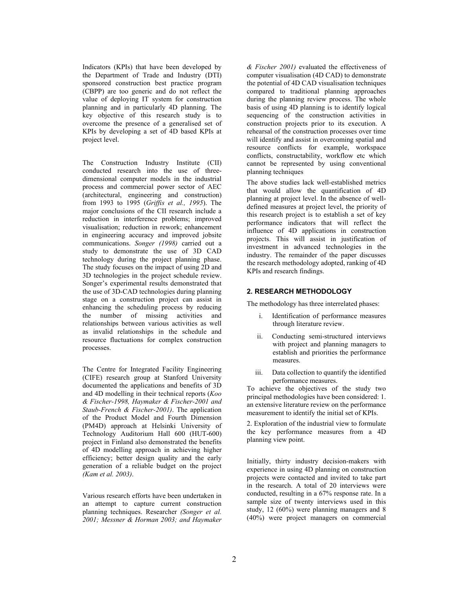Indicators (KPIs) that have been developed by the Department of Trade and Industry (DTI) sponsored construction best practice program (CBPP) are too generic and do not reflect the value of deploying IT system for construction planning and in particularly 4D planning. The key objective of this research study is to overcome the presence of a generalised set of KPIs by developing a set of 4D based KPIs at project level.

The Construction Industry Institute (CII) conducted research into the use of threedimensional computer models in the industrial process and commercial power sector of AEC (architectural, engineering and construction) from 1993 to 1995 (*Griffis et al., 1995*). The major conclusions of the CII research include a reduction in interference problems; improved visualisation; reduction in rework; enhancement in engineering accuracy and improved jobsite communications. *Songer (1998)* carried out a study to demonstrate the use of 3D CAD technology during the project planning phase. The study focuses on the impact of using 2D and 3D technologies in the project schedule review. Songer's experimental results demonstrated that the use of 3D-CAD technologies during planning stage on a construction project can assist in enhancing the scheduling process by reducing the number of missing activities and relationships between various activities as well as invalid relationships in the schedule and resource fluctuations for complex construction processes.

The Centre for Integrated Facility Engineering (CIFE) research group at Stanford University documented the applications and benefits of 3D and 4D modelling in their technical reports (*Koo & Fischer-1998, Haymaker & Fischer-2001 and Staub-French & Fischer-2001)*. The application of the Product Model and Fourth Dimension (PM4D) approach at Helsinki University of Technology Auditorium Hall 600 (HUT-600) project in Finland also demonstrated the benefits of 4D modelling approach in achieving higher efficiency; better design quality and the early generation of a reliable budget on the project *(Kam et al. 2003)*.

Various research efforts have been undertaken in an attempt to capture current construction planning techniques. Researcher *(Songer et al. 2001; Messner & Horman 2003; and Haymaker*  *& Fischer 2001)* evaluated the effectiveness of computer visualisation (4D CAD) to demonstrate the potential of 4D CAD visualisation techniques compared to traditional planning approaches during the planning review process. The whole basis of using 4D planning is to identify logical sequencing of the construction activities in construction projects prior to its execution. A rehearsal of the construction processes over time will identify and assist in overcoming spatial and resource conflicts for example, workspace conflicts, constructability, workflow etc which cannot be represented by using conventional planning techniques

The above studies lack well-established metrics that would allow the quantification of 4D planning at project level. In the absence of welldefined measures at project level, the priority of this research project is to establish a set of key performance indicators that will reflect the influence of 4D applications in construction projects. This will assist in justification of investment in advanced technologies in the industry. The remainder of the paper discusses the research methodology adopted, ranking of 4D KPIs and research findings.

# **2. RESEARCH METHODOLOGY**

The methodology has three interrelated phases:

- i. Identification of performance measures through literature review.
- ii. Conducting semi-structured interviews with project and planning managers to establish and priorities the performance measures.
- iii. Data collection to quantify the identified performance measures.

To achieve the objectives of the study two principal methodologies have been considered: 1. an extensive literature review on the performance measurement to identify the initial set of KPIs.

2. Exploration of the industrial view to formulate the key performance measures from a 4D planning view point.

Initially, thirty industry decision-makers with experience in using 4D planning on construction projects were contacted and invited to take part in the research. A total of 20 interviews were conducted, resulting in a 67% response rate. In a sample size of twenty interviews used in this study, 12 (60%) were planning managers and 8 (40%) were project managers on commercial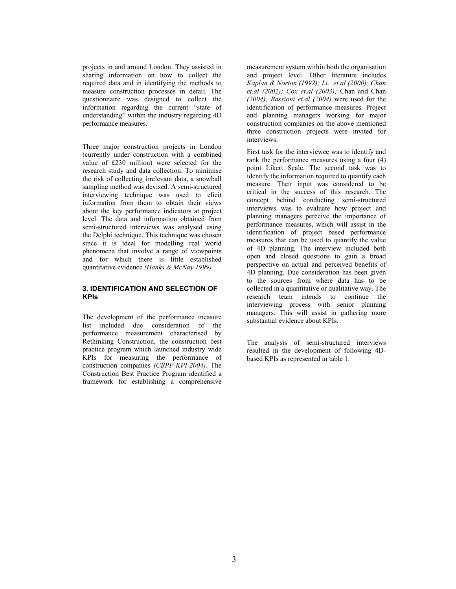projects in and around London. They assisted in sharing information on how to collect the required data and in identifying the methods to measure construction processes in detail. The questionnaire was designed to collect the information regarding the current "state of understanding" within the industry regarding 4D performance measures.

Three major construction projects in London (currently under construction with a combined value of £230 million) were selected for the research study and data collection. To minimise the risk of collecting irrelevant data, a snowball sampling method was devised. A semi-structured interviewing technique was used to elicit information from them to obtain their views about the key performance indicators at project level. The data and information obtained from semi-structured interviews was analysed using the Delphi technique. This technique was chosen since it is ideal for modelling real world phenomena that involve a range of viewpoints and for which there is little established quantitative evidence *(Hanks & McNay 1999).*

# **3. IDENTIFICATION AND SELECTION OF KPIs**

The development of the performance measure list included due consideration of the performance measurement characterised by Rethinking Construction, the construction best practice program which launched industry wide KPIs for measuring the performance of construction companies *(CBPP-KPI-2004).* The Construction Best Practice Program identified a framework for establishing a comprehensive measurement system within both the organisation and project level. Other literature includes *Kaplan & Norton (1992); Li. et.al (2000); Chan et.al (2002); Cox et.al (2003);* Chan and Chan *(2004); Bassioni et.al (2004)* were used for the identification of performance measures*.* Project and planning managers working for major construction companies on the above mentioned three construction projects were invited for interviews.

First task for the interviewee was to identify and rank the performance measures using a four (4) point Likert Scale. The second task was to identify the information required to quantify each measure. Their input was considered to be critical in the success of this research. The concept behind conducting semi-structured interviews was to evaluate how project and planning managers perceive the importance of performance measures, which will assist in the identification of project based performance measures that can be used to quantify the value of 4D planning. The interview included both open and closed questions to gain a broad perspective on actual and perceived benefits of 4D planning. Due consideration has been given to the sources from where data has to be collected in a quantitative or qualitative way. The research team intends to continue the interviewing process with senior planning managers. This will assist in gathering more substantial evidence about KPIs.

The analysis of semi-structured interviews resulted in the development of following 4Dbased KPIs as represented in table 1.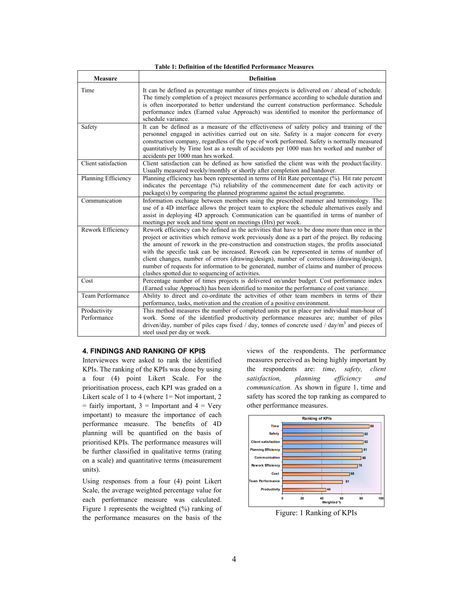**Table 1: Definition of the Identified Performance Measures** 

| <b>Measure</b>              | <b>Definition</b>                                                                                                                                                                                                                                                                                                                                                                                                                                                                                                                                                                                                                          |  |  |  |  |
|-----------------------------|--------------------------------------------------------------------------------------------------------------------------------------------------------------------------------------------------------------------------------------------------------------------------------------------------------------------------------------------------------------------------------------------------------------------------------------------------------------------------------------------------------------------------------------------------------------------------------------------------------------------------------------------|--|--|--|--|
| Time                        | It can be defined as percentage number of times projects is delivered on / ahead of schedule.<br>The timely completion of a project measures performance according to schedule duration and<br>is often incorporated to better understand the current construction performance. Schedule<br>performance index (Earned value Approach) was identified to monitor the performance of<br>schedule variance.                                                                                                                                                                                                                                   |  |  |  |  |
| Safety                      | It can be defined as a measure of the effectiveness of safety policy and training of the<br>personnel engaged in activities carried out on site. Safety is a major concern for every<br>construction company, regardless of the type of work performed. Safety is normally measured<br>quantitatively by Time lost as a result of accidents per 1000 man hrs worked and number of<br>accidents per 1000 man hrs worked.                                                                                                                                                                                                                    |  |  |  |  |
| Client satisfaction         | Client satisfaction can be defined as how satisfied the client was with the product/facility.<br>Usually measured weekly/monthly or shortly after completion and handover.                                                                                                                                                                                                                                                                                                                                                                                                                                                                 |  |  |  |  |
| Planning Efficiency         | Planning efficiency has been represented in terms of Hit Rate percentage (%). Hit rate percent<br>indicates the percentage (%) reliability of the commencement date for each activity or<br>package(s) by comparing the planned programme against the actual programme.                                                                                                                                                                                                                                                                                                                                                                    |  |  |  |  |
| Communication               | Information exchange between members using the prescribed manner and terminology. The<br>use of a 4D interface allows the project team to explore the schedule alternatives easily and<br>assist in deploying 4D approach. Communication can be quantified in terms of number of<br>meetings per week and time spent on meetings (Hrs) per week.                                                                                                                                                                                                                                                                                           |  |  |  |  |
| Rework Efficiency           | Rework efficiency can be defined as the activities that have to be done more than once in the<br>project or activities which remove work previously done as a part of the project. By reducing<br>the amount of rework in the pre-construction and construction stages, the profits associated<br>with the specific task can be increased. Rework can be represented in terms of number of<br>client changes, number of errors (drawing/design), number of corrections (drawing/design),<br>number of requests for information to be generated, number of claims and number of process<br>clashes spotted due to sequencing of activities. |  |  |  |  |
| Cost                        | Percentage number of times projects is delivered on/under budget. Cost performance index<br>(Earned value Approach) has been identified to monitor the performance of cost variance.                                                                                                                                                                                                                                                                                                                                                                                                                                                       |  |  |  |  |
| <b>Team Performance</b>     | Ability to direct and co-ordinate the activities of other team members in terms of their<br>performance, tasks, motivation and the creation of a positive environment.                                                                                                                                                                                                                                                                                                                                                                                                                                                                     |  |  |  |  |
| Productivity<br>Performance | This method measures the number of completed units put in place per individual man-hour of<br>work. Some of the identified productivity performance measures are; number of piles<br>driven/day, number of piles caps fixed / day, tonnes of concrete used / day/ $m3$ and pieces of<br>steel used per day or week.                                                                                                                                                                                                                                                                                                                        |  |  |  |  |

#### **4. FINDINGS AND RANKING OF KPIS**

Interviewees were asked to rank the identified KPIs. The ranking of the KPIs was done by using a four (4) point Likert Scale. For the prioritisation process, each KPI was graded on a Likert scale of 1 to 4 (where  $1 = Not$  important, 2  $=$  fairly important,  $3 =$  Important and  $4 =$  Very important) to measure the importance of each performance measure. The benefits of 4D planning will be quantified on the basis of prioritised KPIs. The performance measures will be further classified in qualitative terms (rating on a scale) and quantitative terms (measurement units).

Using responses from a four (4) point Likert Scale, the average weighted percentage value for each performance measure was calculated. Figure 1 represents the weighted (%) ranking of the performance measures on the basis of the

views of the respondents. The performance measures perceived as being highly important by the respondents are: *time, safety, client satisfaction, planning efficiency and communication.* As shown in figure 1, time and safety has scored the top ranking as compared to other performance measures.



Figure: 1 Ranking of KPIs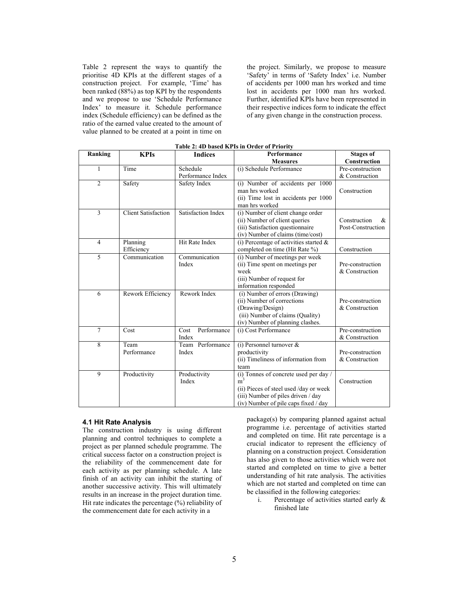Table 2 represent the ways to quantify the prioritise 4D KPIs at the different stages of a construction project. For example, 'Time' has been ranked  $(88\%)$  as top KPI by the respondents and we propose to use 'Schedule Performance Index' to measure it. Schedule performance index (Schedule efficiency) can be defined as the ratio of the earned value created to the amount of value planned to be created at a point in time on

the project. Similarly, we propose to measure 'Safety' in terms of 'Safety Index' i.e. Number of accidents per 1000 man hrs worked and time lost in accidents per 1000 man hrs worked. Further, identified KPIs have been represented in their respective indices form to indicate the effect of any given change in the construction process.

| Ranking        | <b>KPIs</b>                       | <b>Indices</b>                                                                                             | Performance                                                                                                                                                                     | <b>Stages of</b>                       |
|----------------|-----------------------------------|------------------------------------------------------------------------------------------------------------|---------------------------------------------------------------------------------------------------------------------------------------------------------------------------------|----------------------------------------|
|                |                                   |                                                                                                            | <b>Measures</b>                                                                                                                                                                 | <b>Construction</b>                    |
| 1              | Time                              | Schedule<br>Performance Index                                                                              | (i) Schedule Performance                                                                                                                                                        | Pre-construction<br>& Construction     |
| $\overline{c}$ | Safety                            | Safety Index<br>(i) Number of accidents per 1000<br>man hrs worked<br>(ii) Time lost in accidents per 1000 |                                                                                                                                                                                 | Construction                           |
| 3              | <b>Client Satisfaction</b>        | <b>Satisfaction Index</b>                                                                                  | man hrs worked<br>(i) Number of client change order<br>(ii) Number of client queries<br>(iii) Satisfaction questionnaire<br>(iv) Number of claims (time/cost)                   | Construction<br>&<br>Post-Construction |
| $\overline{4}$ | Planning<br>Efficiency            | Hit Rate Index                                                                                             | (i) Percentage of activities started $\&$<br>completed on time (Hit Rate %)                                                                                                     | Construction                           |
| 5              | Communication                     | Communication<br>Index                                                                                     | (i) Number of meetings per week<br>(ii) Time spent on meetings per<br>week<br>(iii) Number of request for<br>information responded                                              | Pre-construction<br>& Construction     |
| 6              | Rework Index<br>Rework Efficiency |                                                                                                            | (i) Number of errors (Drawing)<br>(ii) Number of corrections<br>(Drawing/Design)<br>(iii) Number of claims (Quality)<br>(iv) Number of planning clashes.                        | Pre-construction<br>& Construction     |
| $\overline{7}$ | Cost                              | Performance<br>Cost<br>Index                                                                               | (i) Cost Performance                                                                                                                                                            | Pre-construction<br>& Construction     |
| 8              | Team<br>Performance               | Team Performance<br>Index                                                                                  | (i) Personnel turnover $\&$<br>productivity<br>(ii) Timeliness of information from<br>team                                                                                      | Pre-construction<br>& Construction     |
| 9              | Productivity                      | Productivity<br>Index                                                                                      | (i) Tonnes of concrete used per day /<br>m <sup>3</sup><br>(ii) Pieces of steel used /day or week<br>(iii) Number of piles driven / day<br>(iv) Number of pile caps fixed / day | Construction                           |

#### **4.1 Hit Rate Analysis**

The construction industry is using different planning and control techniques to complete a project as per planned schedule programme. The critical success factor on a construction project is the reliability of the commencement date for each activity as per planning schedule. A late finish of an activity can inhibit the starting of another successive activity. This will ultimately results in an increase in the project duration time. Hit rate indicates the percentage (%) reliability of the commencement date for each activity in a

package(s) by comparing planned against actual programme i.e. percentage of activities started and completed on time. Hit rate percentage is a crucial indicator to represent the efficiency of planning on a construction project. Consideration has also given to those activities which were not started and completed on time to give a better understanding of hit rate analysis. The activities which are not started and completed on time can be classified in the following categories:

i. Percentage of activities started early & finished late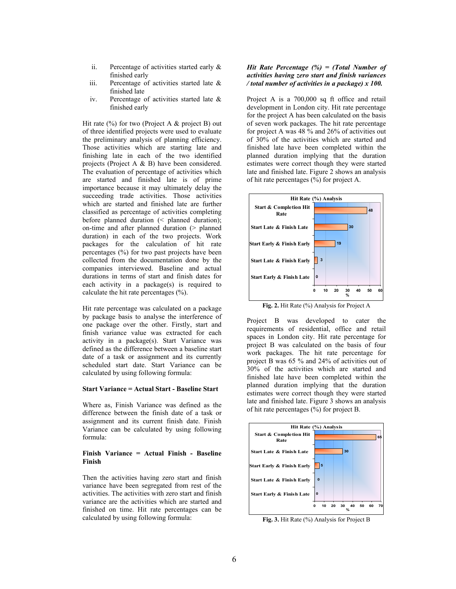- ii. Percentage of activities started early & finished early
- iii. Percentage of activities started late  $\&$ finished late
- iv. Percentage of activities started late & finished early

Hit rate  $(\%)$  for two (Project A & project B) out of three identified projects were used to evaluate the preliminary analysis of planning efficiency. Those activities which are starting late and finishing late in each of the two identified projects (Project A & B) have been considered. The evaluation of percentage of activities which are started and finished late is of prime importance because it may ultimately delay the succeeding trade activities. Those activities which are started and finished late are further classified as percentage of activities completing before planned duration (< planned duration); on-time and after planned duration (> planned duration) in each of the two projects. Work packages for the calculation of hit rate percentages (%) for two past projects have been collected from the documentation done by the companies interviewed. Baseline and actual durations in terms of start and finish dates for each activity in a package(s) is required to calculate the hit rate percentages (%).

Hit rate percentage was calculated on a package by package basis to analyse the interference of one package over the other. Firstly, start and finish variance value was extracted for each activity in a package(s). Start Variance was defined as the difference between a baseline start date of a task or assignment and its currently scheduled start date. Start Variance can be calculated by using following formula:

# **Start Variance = Actual Start - Baseline Start**

Where as, Finish Variance was defined as the difference between the finish date of a task or assignment and its current finish date. Finish Variance can be calculated by using following formula:

## **Finish Variance = Actual Finish - Baseline Finish**

Then the activities having zero start and finish variance have been segregated from rest of the activities. The activities with zero start and finish variance are the activities which are started and finished on time. Hit rate percentages can be calculated by using following formula:

## *Hit Rate Percentage (%) = (Total Number of activities having zero start and finish variances / total number of activities in a package) x 100.*

Project A is a 700,000 sq ft office and retail development in London city. Hit rate percentage for the project A has been calculated on the basis of seven work packages. The hit rate percentage for project A was 48 % and 26% of activities out of 30% of the activities which are started and finished late have been completed within the planned duration implying that the duration estimates were correct though they were started late and finished late. Figure 2 shows an analysis of hit rate percentages (%) for project A.



**Fig. 2.** Hit Rate (%) Analysis for Project A

Project B was developed to cater the requirements of residential, office and retail spaces in London city. Hit rate percentage for project B was calculated on the basis of four work packages. The hit rate percentage for project B was 65 % and 24% of activities out of 30% of the activities which are started and finished late have been completed within the planned duration implying that the duration estimates were correct though they were started late and finished late. Figure 3 shows an analysis of hit rate percentages (%) for project B.



**Fig. 3.** Hit Rate (%) Analysis for Project B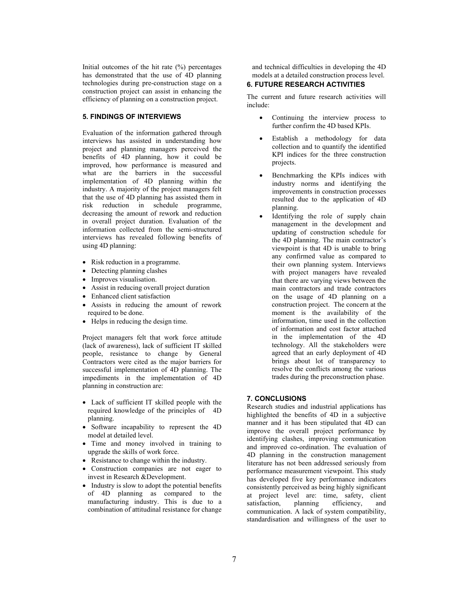Initial outcomes of the hit rate (%) percentages has demonstrated that the use of 4D planning technologies during pre-construction stage on a construction project can assist in enhancing the efficiency of planning on a construction project.

# **5. FINDINGS OF INTERVIEWS**

Evaluation of the information gathered through interviews has assisted in understanding how project and planning managers perceived the benefits of 4D planning, how it could be improved, how performance is measured and what are the barriers in the successful implementation of 4D planning within the industry. A majority of the project managers felt that the use of 4D planning has assisted them in risk reduction in schedule programme, decreasing the amount of rework and reduction in overall project duration. Evaluation of the information collected from the semi-structured interviews has revealed following benefits of using 4D planning:

- Risk reduction in a programme.
- Detecting planning clashes
- Improves visualisation.
- Assist in reducing overall project duration
- Enhanced client satisfaction
- Assists in reducing the amount of rework required to be done.
- Helps in reducing the design time.

Project managers felt that work force attitude (lack of awareness), lack of sufficient IT skilled people, resistance to change by General Contractors were cited as the major barriers for successful implementation of 4D planning. The impediments in the implementation of 4D planning in construction are:

- Lack of sufficient IT skilled people with the required knowledge of the principles of 4D planning.
- Software incapability to represent the 4D model at detailed level.
- Time and money involved in training to upgrade the skills of work force.
- Resistance to change within the industry.
- Construction companies are not eager to invest in Research &Development.
- Industry is slow to adopt the potential benefits of 4D planning as compared to the manufacturing industry. This is due to a combination of attitudinal resistance for change

and technical difficulties in developing the 4D models at a detailed construction process level.

## **6. FUTURE RESEARCH ACTIVITIES**

The current and future research activities will include:

- Continuing the interview process to further confirm the 4D based KPIs.
- Establish a methodology for data collection and to quantify the identified KPI indices for the three construction projects.
- Benchmarking the KPIs indices with industry norms and identifying the improvements in construction processes resulted due to the application of 4D planning.
- Identifying the role of supply chain management in the development and updating of construction schedule for the 4D planning. The main contractor's viewpoint is that 4D is unable to bring any confirmed value as compared to their own planning system. Interviews with project managers have revealed that there are varying views between the main contractors and trade contractors on the usage of 4D planning on a construction project. The concern at the moment is the availability of the information, time used in the collection of information and cost factor attached in the implementation of the 4D technology. All the stakeholders were agreed that an early deployment of 4D brings about lot of transparency to resolve the conflicts among the various trades during the preconstruction phase.

## **7. CONCLUSIONS**

Research studies and industrial applications has highlighted the benefits of 4D in a subjective manner and it has been stipulated that 4D can improve the overall project performance by identifying clashes, improving communication and improved co-ordination. The evaluation of 4D planning in the construction management literature has not been addressed seriously from performance measurement viewpoint. This study has developed five key performance indicators consistently perceived as being highly significant at project level are: time, safety, client<br>satisfaction. planning efficiency and planning efficiency, and communication. A lack of system compatibility, standardisation and willingness of the user to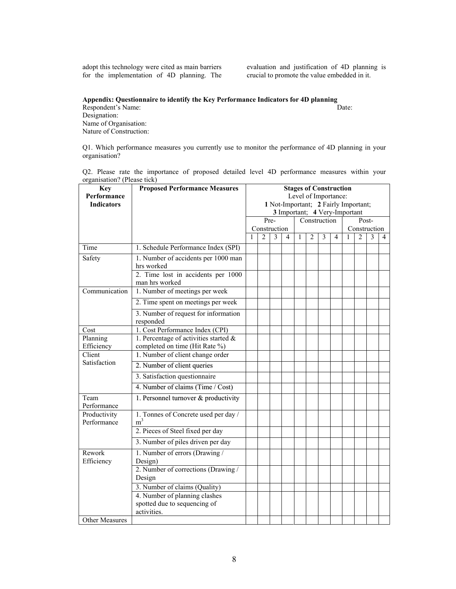adopt this technology were cited as main barriers for the implementation of 4D planning. The evaluation and justification of 4D planning is crucial to promote the value embedded in it.

**Appendix: Questionnaire to identify the Key Performance Indicators for 4D planning**  Respondent's Name: Date: Date: Designation: Name of Organisation: Nature of Construction:

Q1. Which performance measures you currently use to monitor the performance of 4D planning in your organisation?

Q2. Please rate the importance of proposed detailed level 4D performance measures within your organisation? (Please tick)

| <b>Key</b>                       | <b>Proposed Performance Measures</b>                                         | <b>Stages of Construction</b>                                         |                |   |                |              |                |   |                |   |                |              |                |
|----------------------------------|------------------------------------------------------------------------------|-----------------------------------------------------------------------|----------------|---|----------------|--------------|----------------|---|----------------|---|----------------|--------------|----------------|
| Performance<br><b>Indicators</b> |                                                                              | Level of Importance:                                                  |                |   |                |              |                |   |                |   |                |              |                |
|                                  |                                                                              | 1 Not-Important; 2 Fairly Important;<br>3 Important; 4 Very-Important |                |   |                |              |                |   |                |   |                |              |                |
|                                  |                                                                              | Post-<br>Pre-<br>Construction                                         |                |   |                |              |                |   |                |   |                |              |                |
|                                  |                                                                              |                                                                       | Construction   |   |                |              |                |   |                |   |                | Construction |                |
|                                  |                                                                              | 1                                                                     | $\overline{2}$ | 3 | $\overline{4}$ | $\mathbf{1}$ | $\overline{2}$ | 3 | $\overline{4}$ | 1 | $\overline{2}$ | 3            | $\overline{4}$ |
| Time                             | 1. Schedule Performance Index (SPI)                                          |                                                                       |                |   |                |              |                |   |                |   |                |              |                |
| Safety                           | 1. Number of accidents per 1000 man<br>hrs worked                            |                                                                       |                |   |                |              |                |   |                |   |                |              |                |
|                                  | 2. Time lost in accidents per 1000<br>man hrs worked                         |                                                                       |                |   |                |              |                |   |                |   |                |              |                |
| Communication                    | 1. Number of meetings per week                                               |                                                                       |                |   |                |              |                |   |                |   |                |              |                |
|                                  | 2. Time spent on meetings per week                                           |                                                                       |                |   |                |              |                |   |                |   |                |              |                |
|                                  | 3. Number of request for information<br>responded                            |                                                                       |                |   |                |              |                |   |                |   |                |              |                |
| Cost                             | 1. Cost Performance Index (CPI)                                              |                                                                       |                |   |                |              |                |   |                |   |                |              |                |
| Planning<br>Efficiency           | 1. Percentage of activities started $\&$<br>completed on time (Hit Rate %)   |                                                                       |                |   |                |              |                |   |                |   |                |              |                |
| Client                           | 1. Number of client change order                                             |                                                                       |                |   |                |              |                |   |                |   |                |              |                |
| Satisfaction                     | 2. Number of client queries                                                  |                                                                       |                |   |                |              |                |   |                |   |                |              |                |
|                                  | 3. Satisfaction questionnaire                                                |                                                                       |                |   |                |              |                |   |                |   |                |              |                |
|                                  | 4. Number of claims (Time / Cost)                                            |                                                                       |                |   |                |              |                |   |                |   |                |              |                |
| Team<br>Performance              | 1. Personnel turnover & productivity                                         |                                                                       |                |   |                |              |                |   |                |   |                |              |                |
| Productivity<br>Performance      | 1. Tonnes of Concrete used per day /<br>m <sup>3</sup>                       |                                                                       |                |   |                |              |                |   |                |   |                |              |                |
|                                  | 2. Pieces of Steel fixed per day                                             |                                                                       |                |   |                |              |                |   |                |   |                |              |                |
|                                  | 3. Number of piles driven per day                                            |                                                                       |                |   |                |              |                |   |                |   |                |              |                |
| Rework<br>Efficiency             | 1. Number of errors (Drawing /<br>Design)                                    |                                                                       |                |   |                |              |                |   |                |   |                |              |                |
|                                  | 2. Number of corrections (Drawing /<br>Design                                |                                                                       |                |   |                |              |                |   |                |   |                |              |                |
|                                  | 3. Number of claims (Quality)                                                |                                                                       |                |   |                |              |                |   |                |   |                |              |                |
|                                  | 4. Number of planning clashes<br>spotted due to sequencing of<br>activities. |                                                                       |                |   |                |              |                |   |                |   |                |              |                |
| <b>Other Measures</b>            |                                                                              |                                                                       |                |   |                |              |                |   |                |   |                |              |                |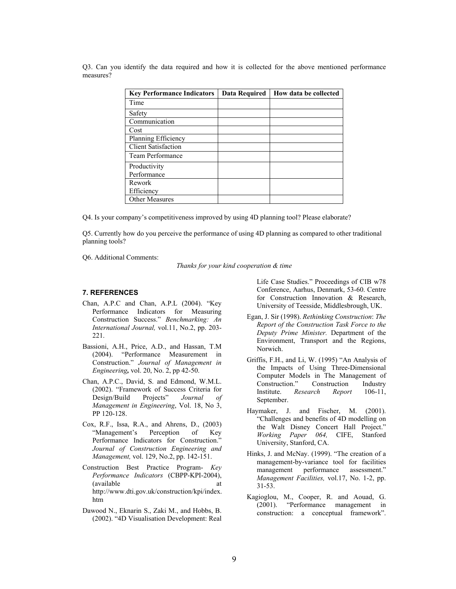Q3. Can you identify the data required and how it is collected for the above mentioned performance measures?

| <b>Key Performance Indicators</b> | <b>Data Required</b> | How data be collected |
|-----------------------------------|----------------------|-----------------------|
| Time                              |                      |                       |
| Safety                            |                      |                       |
| Communication                     |                      |                       |
| Cost                              |                      |                       |
| Planning Efficiency               |                      |                       |
| <b>Client Satisfaction</b>        |                      |                       |
| <b>Team Performance</b>           |                      |                       |
| Productivity                      |                      |                       |
| Performance                       |                      |                       |
| Rework                            |                      |                       |
| Efficiency                        |                      |                       |
| <b>Other Measures</b>             |                      |                       |

Q4. Is your company's competitiveness improved by using 4D planning tool? Please elaborate?

Q5. Currently how do you perceive the performance of using 4D planning as compared to other traditional planning tools?

Q6. Additional Comments:

*Thanks for your kind cooperation & time* 

#### **7. REFERENCES**

- Chan, A.P.C and Chan, A.P.L (2004). "Key Performance Indicators for Measuring Construction Success." *Benchmarking: An International Journal,* vol.11, No.2, pp. 203- 221.
- Bassioni, A.H., Price, A.D., and Hassan, T.M (2004). "Performance Measurement in Construction." *Journal of Management in Engineering,* vol. 20, No. 2, pp 42-50.
- Chan, A.P.C., David, S. and Edmond, W.M.L. (2002). "Framework of Success Criteria for Design/Build Projects" *Journal of Management in Engineering*, Vol. 18, No 3, PP 120-128.
- Cox, R.F., Issa, R.A., and Ahrens, D., (2003) "Management's Perception of Key Performance Indicators for Construction." *Journal of Construction Engineering and Management,* vol. 129, No.2, pp. 142-151.
- Construction Best Practice Program- *Key Performance Indicators* (CBPP-KPI-2004), (available at http://www.dti.gov.uk/construction/kpi/index. htm
- Dawood N., Eknarin S., Zaki M., and Hobbs, B. (2002). "4D Visualisation Development: Real

Life Case Studies." Proceedings of CIB w78 Conference, Aarhus, Denmark, 53-60. Centre for Construction Innovation & Research, University of Teesside, Middlesbrough, UK.

- Egan, J. Sir (1998). *Rethinking Construction*: *The Report of the Construction Task Force to the Deputy Prime Minister.* Department of the Environment, Transport and the Regions, Norwich.
- Griffis, F.H., and Li, W. (1995) "An Analysis of the Impacts of Using Three-Dimensional Computer Models in The Management of Construction." Construction Industry Institute. *Research Report* 106-11, September.
- Haymaker, J. and Fischer, M. (2001). "Challenges and benefits of 4D modelling on the Walt Disney Concert Hall Project." *Working Paper 064,* CIFE, Stanford University, Stanford, CA.
- Hinks, J. and McNay. (1999). "The creation of a management-by-variance tool for facilities management performance assessment." *Management Facilities,* vol.17, No. 1-2, pp. 31-53.
- Kagioglou, M., Cooper, R. and Aouad, G. (2001). "Performance management in construction: a conceptual framework".